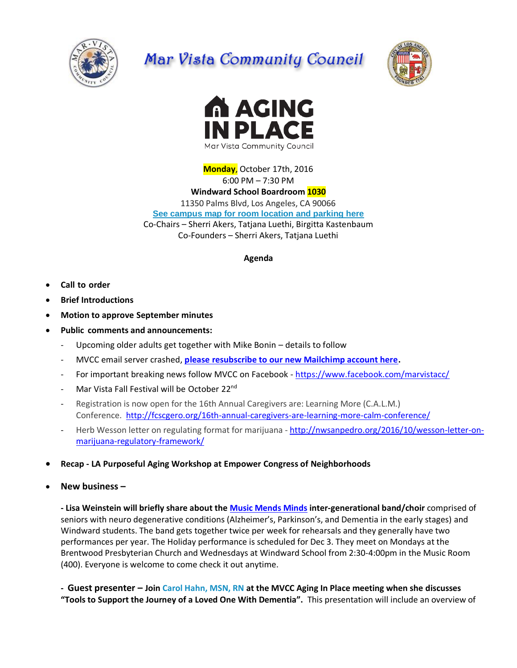

## Mar Vista Community Council





**Monday**, October 17th, 2016 6:00 PM – 7:30 PM **Windward School Boardroom 1030** 11350 Palms Blvd, Los Angeles, CA 90066 **[See campus map for room location and parking here](https://windwardschool.myschoolapp.com/ftpimages/176/download/download_1671327.pdf)** Co-Chairs – Sherri Akers, Tatjana Luethi, Birgitta Kastenbaum Co-Founders – Sherri Akers, Tatjana Luethi

## **Agenda**

- **Call to order**
- **Brief Introductions**
- **Motion to approve September minutes**
- **Public comments and announcements:** 
	- Upcoming older adults get together with Mike Bonin details to follow
	- MVCC email server crashed, **[please resubscribe to our new Mailchimp account here.](http://marvista.us14.list-manage.com/subscribe?u=21ac64fde1e38ef12127390ac&id=f0971c029d)**
	- For important breaking news follow MVCC on Facebook <https://www.facebook.com/marvistacc/>
	- Mar Vista Fall Festival will be October 22<sup>nd</sup>
	- Registration is now open for the 16th Annual Caregivers are: Learning More (C.A.L.M.) Conference. <http://fcscgero.org/16th-annual-caregivers-are-learning-more-calm-conference/>
	- Herb Wesson letter on regulating format for marijuana [http://nwsanpedro.org/2016/10/wesson-letter-on](http://nwsanpedro.org/2016/10/wesson-letter-on-marijuana-regulatory-framework/)[marijuana-regulatory-framework/](http://nwsanpedro.org/2016/10/wesson-letter-on-marijuana-regulatory-framework/)
- **Recap - LA Purposeful Aging Workshop at Empower Congress of Neighborhoods**
- **New business –**

**- Lisa Weinstein will briefly share about the [Music Mends Minds](http://www.musicmendsminds.org/) inter-generational band/choir** comprised of seniors with neuro degenerative conditions (Alzheimer's, Parkinson's, and Dementia in the early stages) and Windward students. The band gets together twice per week for rehearsals and they generally have two performances per year. The Holiday performance is scheduled for Dec 3. They meet on Mondays at the Brentwood Presbyterian Church and Wednesdays at Windward School from 2:30-4:00pm in the Music Room (400). Everyone is welcome to come check it out anytime.

**- Guest presenter – Join [Carol Hahn, MSN, RN](http://carolhahnrn.com/) at the MVCC Aging In Place meeting when she discusses "Tools to Support the Journey of a Loved One With Dementia".** This presentation will include an overview of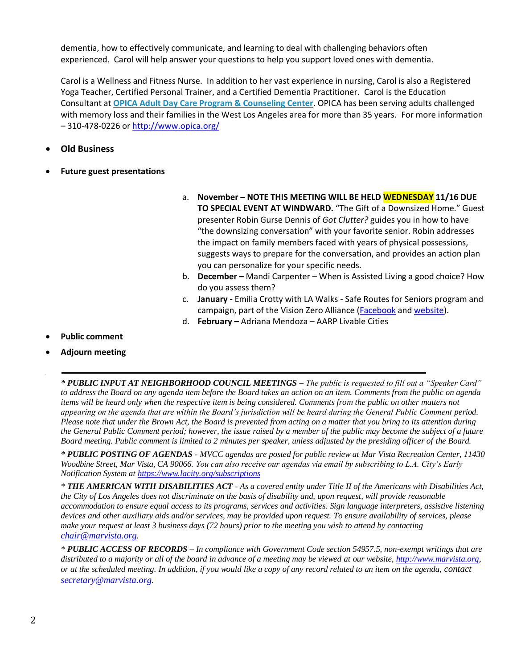dementia, how to effectively communicate, and learning to deal with challenging behaviors often experienced. Carol will help answer your questions to help you support loved ones with dementia.

Carol is a Wellness and Fitness Nurse. In addition to her vast experience in nursing, Carol is also a Registered Yoga Teacher, Certified Personal Trainer, and a Certified Dementia Practitioner. Carol is the Education Consultant at **[OPICA Adult Day Care Program & Counseling Center](http://www.opica.org/)**. OPICA has been serving adults challenged with memory loss and their families in the West Los Angeles area for more than 35 years. For more information – 310-478-0226 or<http://www.opica.org/>

## **Old Business**

- **Future guest presentations**
- a. **November – NOTE THIS MEETING WILL BE HELD WEDNESDAY 11/16 DUE TO SPECIAL EVENT AT WINDWARD.** "The Gift of a Downsized Home." Guest presenter Robin Gurse Dennis of *Got Clutter?* guides you in how to have "the downsizing conversation" with your favorite senior. Robin addresses the impact on family members faced with years of physical possessions, suggests ways to prepare for the conversation, and provides an action plan you can personalize for your specific needs.
- b. **December –** Mandi Carpenter When is Assisted Living a good choice? How do you assess them?
- c. **January -** Emilia Crotty with LA Walks Safe Routes for Seniors program and campaign, part of the Vision Zero Alliance [\(Facebook](https://www.facebook.com/LAvisionzero/photos) an[d website\)](http://www.visionzeroalliance.org/).
- d. **February –** Adriana Mendoza AARP Livable Cities
- **Public comment**
- **Adjourn meeting**

*\* PUBLIC INPUT AT NEIGHBORHOOD COUNCIL MEETINGS – The public is requested to fill out a "Speaker Card" to address the Board on any agenda item before the Board takes an action on an item. Comments from the public on agenda items will be heard only when the respective item is being considered. Comments from the public on other matters not appearing on the agenda that are within the Board's jurisdiction will be heard during the General Public Comment period. Please note that under the Brown Act, the Board is prevented from acting on a matter that you bring to its attention during the General Public Comment period; however, the issue raised by a member of the public may become the subject of a future Board meeting. Public comment is limited to 2 minutes per speaker, unless adjusted by the presiding officer of the Board.*

*\* PUBLIC POSTING OF AGENDAS - MVCC agendas are posted for public review at Mar Vista Recreation Center, 11430 Woodbine Street, Mar Vista, CA 90066. You can also receive our agendas via email by subscribing to L.A. City's Early Notification System at<https://www.lacity.org/subscriptions>*

*\* THE AMERICAN WITH DISABILITIES ACT - As a covered entity under Title II of the Americans with Disabilities Act, the City of Los Angeles does not discriminate on the basis of disability and, upon request, will provide reasonable accommodation to ensure equal access to its programs, services and activities. Sign language interpreters, assistive listening devices and other auxiliary aids and/or services, may be provided upon request. To ensure availability of services, please make your request at least 3 business days (72 hours) prior to the meeting you wish to attend by contacting [chair@marvista.org](mailto:chair@marvista.org).*

*\* PUBLIC ACCESS OF RECORDS – In compliance with Government Code section 54957.5, non-exempt writings that are distributed to a majority or all of the board in advance of a meeting may be viewed at our website, [http://www.marvista.org,](http://www.marvista.org/) or at the scheduled meeting. In addition, if you would like a copy of any record related to an item on the agenda, contact [secretary@marvista.org](mailto:secretary@marvista.org).*